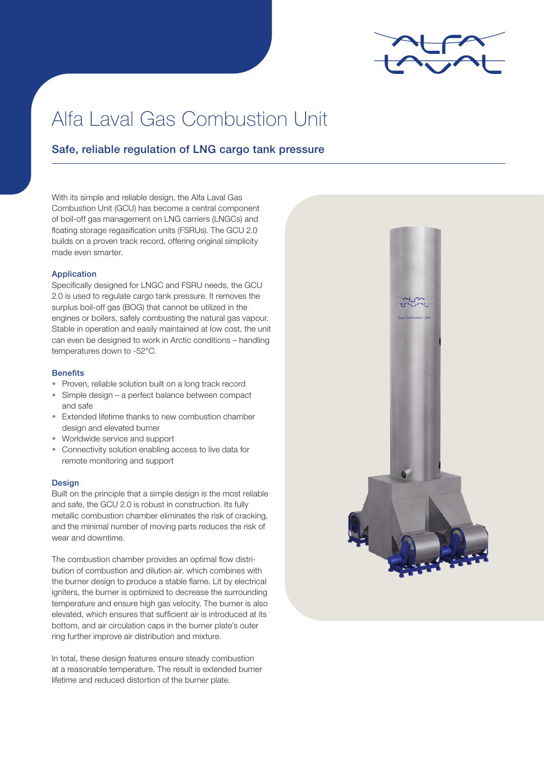

# Alfa Laval Gas Combustion Unit

## Safe, reliable regulation of LNG cargo tank pressure

With its simple and reliable design, the Alfa Laval Gas Combustion Unit (GCU) has become a central component of boil-off gas management on LNG carriers (LNGCs) and floating storage regasification units (FSRUs). The GCU 2.0 builds on a proven track record, offering original simplicity made even smarter.

#### Application

Specifically designed for LNGC and FSRU needs, the GCU 2.0 is used to regulate cargo tank pressure. It removes the surplus boil-off gas (BOG) that cannot be utilized in the engines or boilers, safely combusting the natural gas vapour. Stable in operation and easily maintained at low cost, the unit can even be designed to work in Arctic conditions – handling temperatures down to -52°C.

#### **Benefits**

- Proven, reliable solution built on a long track record
- Simple design a perfect balance between compact and safe
- Extended lifetime thanks to new combustion chamber design and elevated burner
- Worldwide service and support
- Connectivity solution enabling access to live data for remote monitoring and support

#### Design

Built on the principle that a simple design is the most reliable and safe, the GCU 2.0 is robust in construction. Its fully metallic combustion chamber eliminates the risk of cracking, and the minimal number of moving parts reduces the risk of wear and downtime.

The combustion chamber provides an optimal flow distribution of combustion and dilution air, which combines with the burner design to produce a stable flame. Lit by electrical igniters, the burner is optimized to decrease the surrounding temperature and ensure high gas velocity. The burner is also elevated, which ensures that sufficient air is introduced at its bottom, and air circulation caps in the burner plate's outer ring further improve air distribution and mixture.

In total, these design features ensure steady combustion at a reasonable temperature. The result is extended burner lifetime and reduced distortion of the burner plate.